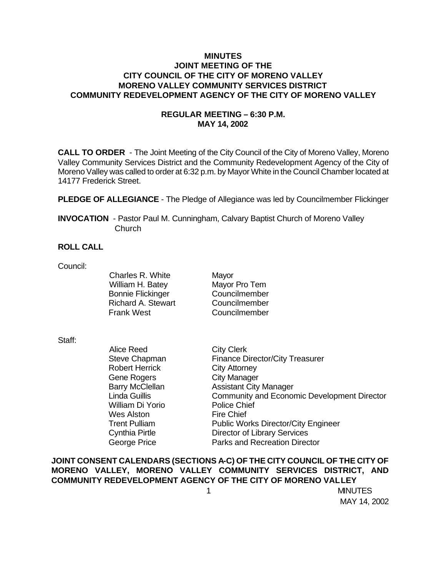## **MINUTES JOINT MEETING OF THE CITY COUNCIL OF THE CITY OF MORENO VALLEY MORENO VALLEY COMMUNITY SERVICES DISTRICT COMMUNITY REDEVELOPMENT AGENCY OF THE CITY OF MORENO VALLEY**

# **REGULAR MEETING – 6:30 P.M. MAY 14, 2002**

**CALL TO ORDER** - The Joint Meeting of the City Council of the City of Moreno Valley, Moreno Valley Community Services District and the Community Redevelopment Agency of the City of Moreno Valley was called to order at 6:32 p.m. by Mayor White in the Council Chamber located at 14177 Frederick Street.

**PLEDGE OF ALLEGIANCE** - The Pledge of Allegiance was led by Councilmember Flickinger

**INVOCATION** - Pastor Paul M. Cunningham, Calvary Baptist Church of Moreno Valley **Church** 

### **ROLL CALL**

Council:

Charles R. White Mayor William H. Batey Mayor Pro Tem Bonnie Flickinger Councilmember Richard A. Stewart Councilmember Frank West Councilmember

Staff:

Alice Reed City Clerk Robert Herrick City Attorney Gene Rogers City Manager William Di Yorio Police Chief Wes Alston Fire Chief

Steve Chapman Finance Director/City Treasurer Barry McClellan Assistant City Manager Linda Guillis Community and Economic Development Director Trent Pulliam Public Works Director/City Engineer Cynthia Pirtle Director of Library Services George Price **Parks** and Recreation Director

**JOINT CONSENT CALENDARS (SECTIONS A-C) OF THE CITY COUNCIL OF THE CITY OF MORENO VALLEY, MORENO VALLEY COMMUNITY SERVICES DISTRICT, AND COMMUNITY REDEVELOPMENT AGENCY OF THE CITY OF MORENO VALLEY**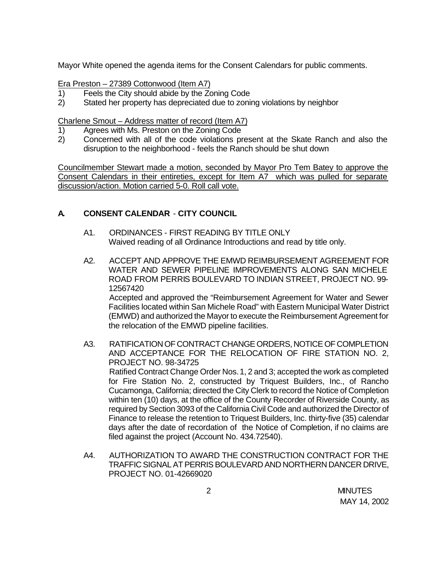Mayor White opened the agenda items for the Consent Calendars for public comments.

Era Preston – 27389 Cottonwood (Item A7)

- 1) Feels the City should abide by the Zoning Code
- 2) Stated her property has depreciated due to zoning violations by neighbor

Charlene Smout – Address matter of record (Item A7)

- 1) Agrees with Ms. Preston on the Zoning Code
- 2) Concerned with all of the code violations present at the Skate Ranch and also the disruption to the neighborhood - feels the Ranch should be shut down

Councilmember Stewart made a motion, seconded by Mayor Pro Tem Batey to approve the Consent Calendars in their entireties, except for Item A7 which was pulled for separate discussion/action. Motion carried 5-0. Roll call vote.

### **A. CONSENT CALENDAR** - **CITY COUNCIL**

- A1. ORDINANCES FIRST READING BY TITLE ONLY Waived reading of all Ordinance Introductions and read by title only.
- A2. ACCEPT AND APPROVE THE EMWD REIMBURSEMENT AGREEMENT FOR WATER AND SEWER PIPELINE IMPROVEMENTS ALONG SAN MICHELE ROAD FROM PERRIS BOULEVARD TO INDIAN STREET, PROJECT NO. 99- 12567420 Accepted and approved the "Reimbursement Agreement for Water and Sewer Facilities located within San Michele Road" with Eastern Municipal Water District (EMWD) and authorized the Mayor to execute the Reimbursement Agreement for the relocation of the EMWD pipeline facilities.
- A3. RATIFICATION OF CONTRACT CHANGE ORDERS, NOTICE OF COMPLETION AND ACCEPTANCE FOR THE RELOCATION OF FIRE STATION NO. 2, PROJECT NO. 98-34725 Ratified Contract Change Order Nos. 1, 2 and 3; accepted the work as completed for Fire Station No. 2, constructed by Triquest Builders, Inc., of Rancho Cucamonga, California; directed the City Clerk to record the Notice of Completion within ten (10) days, at the office of the County Recorder of Riverside County, as required by Section 3093 of the California Civil Code and authorized the Director of Finance to release the retention to Triquest Builders, Inc. thirty-five (35) calendar days after the date of recordation of the Notice of Completion, if no claims are filed against the project (Account No. 434.72540).
- A4. AUTHORIZATION TO AWARD THE CONSTRUCTION CONTRACT FOR THE TRAFFIC SIGNAL AT PERRIS BOULEVARD AND NORTHERN DANCER DRIVE, PROJECT NO. 01-42669020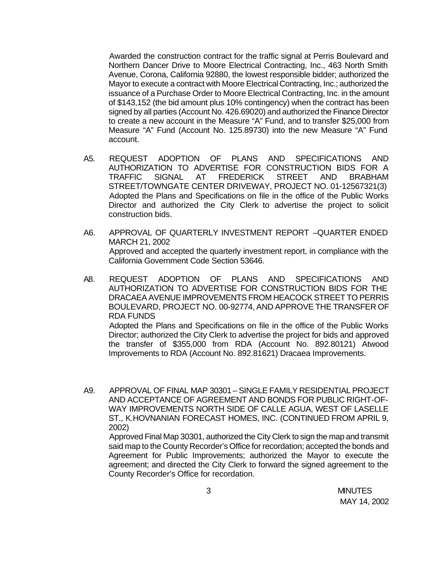Awarded the construction contract for the traffic signal at Perris Boulevard and Northern Dancer Drive to Moore Electrical Contracting, Inc., 463 North Smith Avenue, Corona, California 92880, the lowest responsible bidder; authorized the Mayor to execute a contract with Moore Electrical Contracting, Inc.; authorized the issuance of a Purchase Order to Moore Electrical Contracting, Inc. in the amount of \$143,152 (the bid amount plus 10% contingency) when the contract has been signed by all parties (Account No. 426.69020) and authorized the Finance Director to create a new account in the Measure "A" Fund, and to transfer \$25,000 from Measure "A" Fund (Account No. 125.89730) into the new Measure "A" Fund account.

- A5. REQUEST ADOPTION OF PLANS AND SPECIFICATIONS AND AUTHORIZATION TO ADVERTISE FOR CONSTRUCTION BIDS FOR A TRAFFIC SIGNAL AT FREDERICK STREET AND BRABHAM STREET/TOWNGATE CENTER DRIVEWAY, PROJECT NO. 01-12567321(3) Adopted the Plans and Specifications on file in the office of the Public Works Director and authorized the City Clerk to advertise the project to solicit construction bids.
- A6. APPROVAL OF QUARTERLY INVESTMENT REPORT –QUARTER ENDED MARCH 21, 2002 Approved and accepted the quarterly investment report, in compliance with the California Government Code Section 53646.
- A8. REQUEST ADOPTION OF PLANS AND SPECIFICATIONS AND AUTHORIZATION TO ADVERTISE FOR CONSTRUCTION BIDS FOR THE DRACAEA AVENUE IMPROVEMENTS FROM HEACOCK STREET TO PERRIS BOULEVARD, PROJECT NO. 00-92774, AND APPROVE THE TRANSFER OF RDA FUNDS Adopted the Plans and Specifications on file in the office of the Public Works Director; authorized the City Clerk to advertise the project for bids and approved the transfer of \$355,000 from RDA (Account No. 892.80121) Atwood Improvements to RDA (Account No. 892.81621) Dracaea Improvements.
- A9. APPROVAL OF FINAL MAP 30301 SINGLE FAMILY RESIDENTIAL PROJECT AND ACCEPTANCE OF AGREEMENT AND BONDS FOR PUBLIC RIGHT-OF-WAY IMPROVEMENTS NORTH SIDE OF CALLE AGUA, WEST OF LASELLE ST., K.HOVNANIAN FORECAST HOMES, INC. (CONTINUED FROM APRIL 9, 2002)

Approved Final Map 30301, authorized the City Clerk to sign the map and transmit said map to the County Recorder's Office for recordation; accepted the bonds and Agreement for Public Improvements; authorized the Mayor to execute the agreement; and directed the City Clerk to forward the signed agreement to the County Recorder's Office for recordation.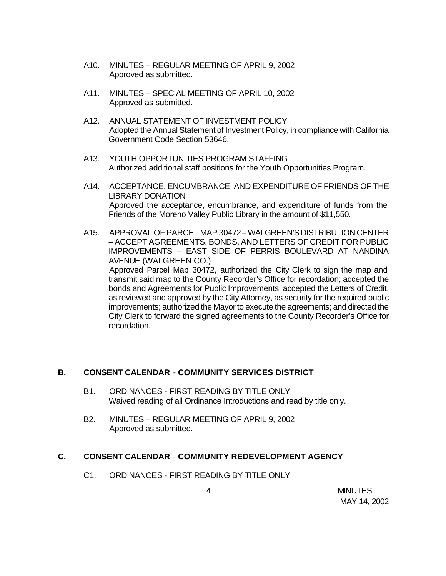- A10. MINUTES REGULAR MEETING OF APRIL 9, 2002 Approved as submitted.
- A11. MINUTES SPECIAL MEETING OF APRIL 10, 2002 Approved as submitted.
- A12. ANNUAL STATEMENT OF INVESTMENT POLICY Adopted the Annual Statement of Investment Policy, in compliance with California Government Code Section 53646.
- A13. YOUTH OPPORTUNITIES PROGRAM STAFFING Authorized additional staff positions for the Youth Opportunities Program.
- A14. ACCEPTANCE, ENCUMBRANCE, AND EXPENDITURE OF FRIENDS OF THE LIBRARY DONATION Approved the acceptance, encumbrance, and expenditure of funds from the Friends of the Moreno Valley Public Library in the amount of \$11,550.
- A15. APPROVAL OF PARCEL MAP 30472 WALGREEN'S DISTRIBUTION CENTER – ACCEPT AGREEMENTS, BONDS, AND LETTERS OF CREDIT FOR PUBLIC IMPROVEMENTS – EAST SIDE OF PERRIS BOULEVARD AT NANDINA AVENUE (WALGREEN CO.) Approved Parcel Map 30472, authorized the City Clerk to sign the map and transmit said map to the County Recorder's Office for recordation; accepted the bonds and Agreements for Public Improvements; accepted the Letters of Credit, as reviewed and approved by the City Attorney, as security for the required public improvements; authorized the Mayor to execute the agreements; and directed the City Clerk to forward the signed agreements to the County Recorder's Office for recordation.

### **B. CONSENT CALENDAR** - **COMMUNITY SERVICES DISTRICT**

- B1. ORDINANCES FIRST READING BY TITLE ONLY Waived reading of all Ordinance Introductions and read by title only.
- B2. MINUTES REGULAR MEETING OF APRIL 9, 2002 Approved as submitted.

### **C. CONSENT CALENDAR** - **COMMUNITY REDEVELOPMENT AGENCY**

C1. ORDINANCES - FIRST READING BY TITLE ONLY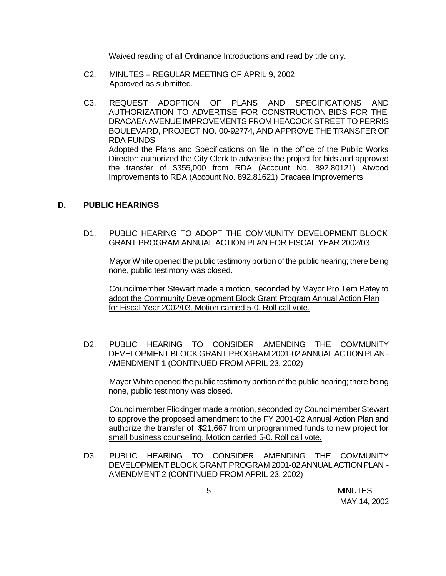Waived reading of all Ordinance Introductions and read by title only.

- C2. MINUTES REGULAR MEETING OF APRIL 9, 2002 Approved as submitted.
- C3. REQUEST ADOPTION OF PLANS AND SPECIFICATIONS AND AUTHORIZATION TO ADVERTISE FOR CONSTRUCTION BIDS FOR THE DRACAEA AVENUE IMPROVEMENTS FROM HEACOCK STREET TO PERRIS BOULEVARD, PROJECT NO. 00-92774, AND APPROVE THE TRANSFER OF RDA FUNDS Adopted the Plans and Specifications on file in the office of the Public Works Director; authorized the City Clerk to advertise the project for bids and approved the transfer of \$355,000 from RDA (Account No. 892.80121) Atwood Improvements to RDA (Account No. 892.81621) Dracaea Improvements

### **D. PUBLIC HEARINGS**

D1. PUBLIC HEARING TO ADOPT THE COMMUNITY DEVELOPMENT BLOCK GRANT PROGRAM ANNUAL ACTION PLAN FOR FISCAL YEAR 2002/03

Mayor White opened the public testimony portion of the public hearing; there being none, public testimony was closed.

Councilmember Stewart made a motion, seconded by Mayor Pro Tem Batey to adopt the Community Development Block Grant Program Annual Action Plan for Fiscal Year 2002/03. Motion carried 5-0. Roll call vote.

D2. PUBLIC HEARING TO CONSIDER AMENDING THE COMMUNITY DEVELOPMENT BLOCK GRANT PROGRAM 2001-02 ANNUAL ACTION PLAN - AMENDMENT 1 (CONTINUED FROM APRIL 23, 2002)

Mayor White opened the public testimony portion of the public hearing; there being none, public testimony was closed.

Councilmember Flickinger made a motion, seconded by Councilmember Stewart to approve the proposed amendment to the FY 2001-02 Annual Action Plan and authorize the transfer of \$21,667 from unprogrammed funds to new project for small business counseling. Motion carried 5-0. Roll call vote.

D3. PUBLIC HEARING TO CONSIDER AMENDING THE COMMUNITY DEVELOPMENT BLOCK GRANT PROGRAM 2001-02 ANNUAL ACTION PLAN - AMENDMENT 2 (CONTINUED FROM APRIL 23, 2002)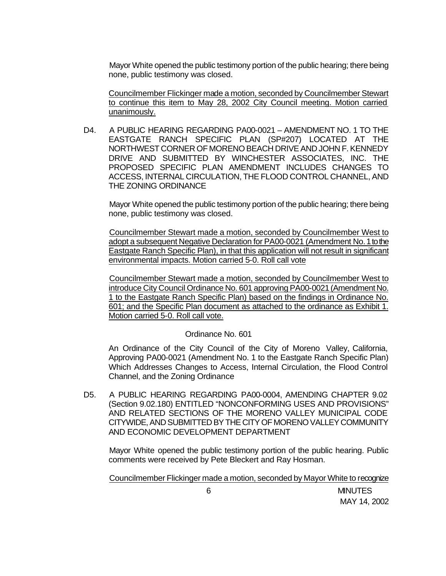Mayor White opened the public testimony portion of the public hearing; there being none, public testimony was closed.

Councilmember Flickinger made a motion, seconded by Councilmember Stewart to continue this item to May 28, 2002 City Council meeting. Motion carried unanimously.

D4. A PUBLIC HEARING REGARDING PA00-0021 – AMENDMENT NO. 1 TO THE EASTGATE RANCH SPECIFIC PLAN (SP#207) LOCATED AT THE NORTHWEST CORNER OF MORENO BEACH DRIVE AND JOHN F. KENNEDY DRIVE AND SUBMITTED BY WINCHESTER ASSOCIATES, INC. THE PROPOSED SPECIFIC PLAN AMENDMENT INCLUDES CHANGES TO ACCESS, INTERNAL CIRCULATION, THE FLOOD CONTROL CHANNEL, AND THE ZONING ORDINANCE

Mayor White opened the public testimony portion of the public hearing; there being none, public testimony was closed.

Councilmember Stewart made a motion, seconded by Councilmember West to adopt a subsequent Negative Declaration for PA00-0021 (Amendment No. 1 to the Eastgate Ranch Specific Plan), in that this application will not result in significant environmental impacts. Motion carried 5-0. Roll call vote

Councilmember Stewart made a motion, seconded by Councilmember West to introduce City Council Ordinance No. 601 approving PA00-0021 (Amendment No. 1 to the Eastgate Ranch Specific Plan) based on the findings in Ordinance No. 601; and the Specific Plan document as attached to the ordinance as Exhibit 1. Motion carried 5-0. Roll call vote.

#### Ordinance No. 601

An Ordinance of the City Council of the City of Moreno Valley, California, Approving PA00-0021 (Amendment No. 1 to the Eastgate Ranch Specific Plan) Which Addresses Changes to Access, Internal Circulation, the Flood Control Channel, and the Zoning Ordinance

D5. A PUBLIC HEARING REGARDING PA00-0004, AMENDING CHAPTER 9.02 (Section 9.02.180) ENTITLED "NONCONFORMING USES AND PROVISIONS" AND RELATED SECTIONS OF THE MORENO VALLEY MUNICIPAL CODE CITYWIDE, AND SUBMITTED BY THE CITY OF MORENO VALLEY COMMUNITY AND ECONOMIC DEVELOPMENT DEPARTMENT

Mayor White opened the public testimony portion of the public hearing. Public comments were received by Pete Bleckert and Ray Hosman.

Councilmember Flickinger made a motion, seconded by Mayor White to recognize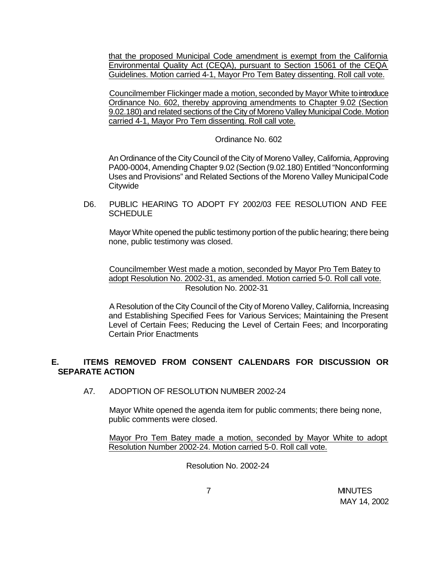that the proposed Municipal Code amendment is exempt from the California Environmental Quality Act (CEQA), pursuant to Section 15061 of the CEQA Guidelines. Motion carried 4-1, Mayor Pro Tem Batey dissenting. Roll call vote.

Councilmember Flickinger made a motion, seconded by Mayor White to introduce Ordinance No. 602, thereby approving amendments to Chapter 9.02 (Section 9.02.180) and related sections of the City of Moreno Valley Municipal Code. Motion carried 4-1, Mayor Pro Tem dissenting. Roll call vote.

#### Ordinance No. 602

An Ordinance of the City Council of the City of Moreno Valley, California, Approving PA00-0004, Amending Chapter 9.02 (Section (9.02.180) Entitled "Nonconforming Uses and Provisions" and Related Sections of the Moreno Valley Municipal Code **Citywide** 

D6. PUBLIC HEARING TO ADOPT FY 2002/03 FEE RESOLUTION AND FEE **SCHEDULE** 

Mayor White opened the public testimony portion of the public hearing; there being none, public testimony was closed.

Councilmember West made a motion, seconded by Mayor Pro Tem Batey to adopt Resolution No. 2002-31, as amended. Motion carried 5-0. Roll call vote. Resolution No. 2002-31

A Resolution of the City Council of the City of Moreno Valley, California, Increasing and Establishing Specified Fees for Various Services; Maintaining the Present Level of Certain Fees; Reducing the Level of Certain Fees; and Incorporating Certain Prior Enactments

### **E. ITEMS REMOVED FROM CONSENT CALENDARS FOR DISCUSSION OR SEPARATE ACTION**

A7. ADOPTION OF RESOLUTION NUMBER 2002-24

Mayor White opened the agenda item for public comments; there being none, public comments were closed.

Mayor Pro Tem Batey made a motion, seconded by Mayor White to adopt Resolution Number 2002-24. Motion carried 5-0. Roll call vote.

Resolution No. 2002-24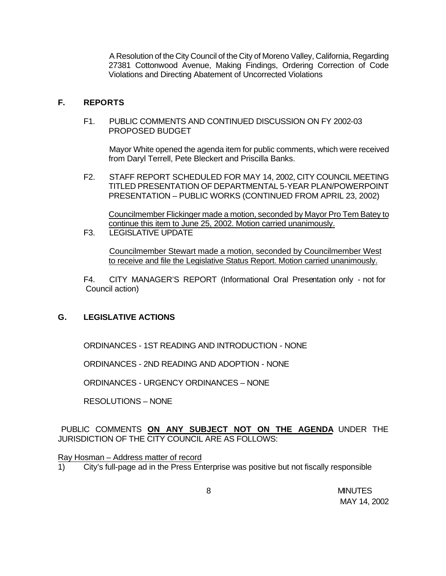A Resolution of the City Council of the City of Moreno Valley, California, Regarding 27381 Cottonwood Avenue, Making Findings, Ordering Correction of Code Violations and Directing Abatement of Uncorrected Violations

#### **F. REPORTS**

F1. PUBLIC COMMENTS AND CONTINUED DISCUSSION ON FY 2002-03 PROPOSED BUDGET

Mayor White opened the agenda item for public comments, which were received from Daryl Terrell, Pete Bleckert and Priscilla Banks.

F2. STAFF REPORT SCHEDULED FOR MAY 14, 2002, CITY COUNCIL MEETING TITLED PRESENTATION OF DEPARTMENTAL 5-YEAR PLAN/POWERPOINT PRESENTATION – PUBLIC WORKS (CONTINUED FROM APRIL 23, 2002)

Councilmember Flickinger made a motion, seconded by Mayor Pro Tem Batey to continue this item to June 25, 2002. Motion carried unanimously.

F3. LEGISLATIVE UPDATE

Councilmember Stewart made a motion, seconded by Councilmember West to receive and file the Legislative Status Report. Motion carried unanimously.

F4. CITY MANAGER'S REPORT (Informational Oral Presentation only - not for Council action)

### **G. LEGISLATIVE ACTIONS**

ORDINANCES - 1ST READING AND INTRODUCTION - NONE

ORDINANCES - 2ND READING AND ADOPTION - NONE

ORDINANCES - URGENCY ORDINANCES – NONE

RESOLUTIONS – NONE

PUBLIC COMMENTS **ON ANY SUBJECT NOT ON THE AGENDA** UNDER THE JURISDICTION OF THE CITY COUNCIL ARE AS FOLLOWS:

Ray Hosman – Address matter of record

1) City's full-page ad in the Press Enterprise was positive but not fiscally responsible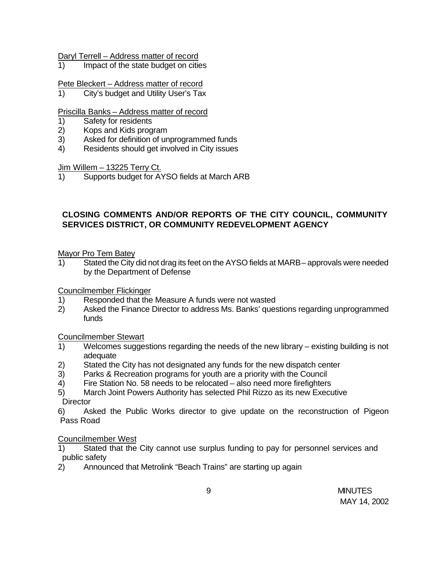Daryl Terrell – Address matter of record

1) Impact of the state budget on cities

Pete Bleckert – Address matter of record

1) City's budget and Utility User's Tax

### Priscilla Banks – Address matter of record

- 1) Safety for residents
- 2) Kops and Kids program
- 3) Asked for definition of unprogrammed funds
- 4) Residents should get involved in City issues

Jim Willem – 13225 Terry Ct.

1) Supports budget for AYSO fields at March ARB

# **CLOSING COMMENTS AND/OR REPORTS OF THE CITY COUNCIL, COMMUNITY SERVICES DISTRICT, OR COMMUNITY REDEVELOPMENT AGENCY**

Mayor Pro Tem Batey

1) Stated the City did not drag its feet on the AYSO fields at MARB – approvals were needed by the Department of Defense

Councilmember Flickinger

- 1) Responded that the Measure A funds were not wasted
- 2) Asked the Finance Director to address Ms. Banks' questions regarding unprogrammed funds

#### Councilmember Stewart

- 1) Welcomes suggestions regarding the needs of the new library existing building is not adequate
- 2) Stated the City has not designated any funds for the new dispatch center
- 3) Parks & Recreation programs for youth are a priority with the Council
- 4) Fire Station No. 58 needs to be relocated also need more firefighters
- 5) March Joint Powers Authority has selected Phil Rizzo as its new Executive **Director**

6) Asked the Public Works director to give update on the reconstruction of Pigeon Pass Road

### Councilmember West

- 1) Stated that the City cannot use surplus funding to pay for personnel services and public safety
- 2) Announced that Metrolink "Beach Trains" are starting up again